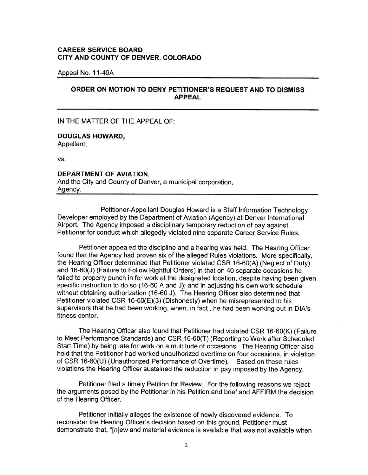### **CAREER SERVICE BOARD CITY AND COUNTY OF DENVER, COLORADO**

Appeal No. 11-49A

## **ORDER ON MOTION TO DENY PETITIONER'S REQUEST AND TO DISMISS APPEAL**

IN THE MATTER OF THE APPEAL OF:

# **DOUGLAS HOWARD,**

Appellant,

vs.

### **DEPARTMENT OF AVIATION,**

And the City and County of Denver, a municipal corporation, Agency.

Petitioner-Appellant Douglas Howard is a Staff Information Technology Developer employed by the Department of Aviation (Agency) at Denver International Airport. The Agency imposed a disciplinary temporary reduction of pay against Petitioner for conduct which allegedly violated nine separate Career Service Rules.

Petitioner appealed the discipline and a hearing was held. The Hearing Officer found that the Agency had proven six of the alleged Rules violations. More specifically, the Hearing Officer determined that Petitioner violated CSR 16-60(A) (Neglect of Duty) and 16-60(J) (Failure to Follow Rightful Orders) in that on 40 separate occasions he failed to properly punch in for work at the designated location, despite having been given specific instruction to do so (16-60 A and J); and in adjusting his own work schedule without obtaining authorization (16-60 J). The Hearing Officer also determined that Petitioner violated CSR 16-60(E)(3) (Dishonesty) when he misrepresented to his supervisors that he had been working, when, in fact , he had been working out in DIA's fitness center.

The Hearing Officer also found that Petitioner had violated CSR 16-60(K) (Failure to Meet Performance Standards) and CSR 16-60(T) (Reporting to Work after Scheduled Start Time) by being late for work on a multitude of occasions. The Hearing Officer also held that the Petitioner had worked unauthorized overtime on four occasions, in violation of CSR 16-60(U) (Unauthorized Performance of Overtime). Based on these rules violations the Hearing Officer sustained the reduction in pay imposed by the Agency.

Petitioner filed a timely Petition for Review. For the following reasons we reject the arguments posed by the Petitioner in his Petition and brief and AFFIRM the decision of the Hearing Officer.

Petitioner initially alleges the existence of newly discovered evidence. To reconsider the Hearing Officer's decision based on this ground, Petitioner must demonstrate that, "[n]ew and material evidence is available that was not available when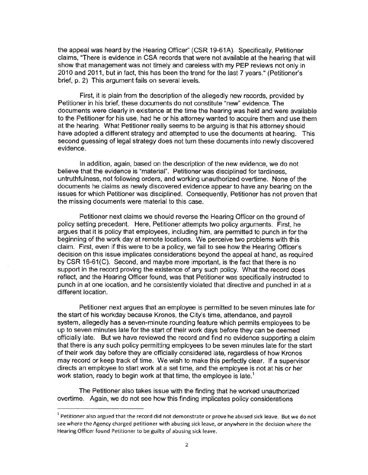the appeal was heard by the Hearing Officer" (CSR 19-61A). Specifically, Petitioner claims, "There is evidence in CSA records that were not available at the hearing that will show that management was not timely and careless with my PEP reviews not only in 2010 and 2011, but in fact, this has been the trend for the last 7 years." (Petitioner's brief, p. 2) This argument fails on several levels.

First, it is plain from the description of the allegedly new records, provided by Petitioner in his brief, these documents do not constitute "new" evidence. The documents were clearly in existence at the time the hearing was held and were available to the Petitioner for his use, had he or his attorney wanted to acquire them and use them at the hearing. What Petitioner really seems to be arguing is that his attorney should have adopted a different strategy and attempted to use the documents at hearing. This second guessing of legal strategy does not turn these documents into newly discovered evidence.

In addition, again, based on the description of the new evidence, we do not believe that the evidence is "material". Petitioner was disciplined for tardiness, untruthfulness, not following orders, and working unauthorized overtime. None of the documents he claims as newly discovered evidence appear to have any bearing on the issues for which Petitioner was disciplined. Consequently, Petitioner has not proven that the missing documents were material to this case.

Petitioner next claims we should reverse the Hearing Officer on the ground of policy setting precedent. Here, Petitioner attempts two policy arguments. First, he argues that it is policy that employees, including him, are permitted to punch in for the beginning of the work day at remote locations. We perceive two problems with this claim. First, even if this were to be a policy, we fail to see how the Hearing Officer's decision on this issue implicates considerations beyond the appeal at hand, as required by CSR 16-61 (C). Second, and maybe more important, is the fact that there is no support in the record proving the existence of any such policy. What the record does reflect, and the Hearing Officer found, was that Petitioner was specifically instructed to punch in at one location, and he consistently violated that directive and punched in at a different location.

Petitioner next argues that an employee is permitted to be seven minutes late for the start of his workday because Kronos, the City's time, attendance, and payroll system, allegedly has a seven-minute rounding feature which permits employees to be up to seven minutes late for the start of their work days before they can be deemed officially late. But we have reviewed the record and find no evidence supporting a claim that there is any such policy permitting employees to be seven minutes late for the start of their work day before they are officially considered late, regardless of how Kronos may record or keep track of time. We wish to make this perfectly clear. If a supervisor directs an employee to start work at a set time, and the employee is not at his or her work station, ready to begin work at that time, the employee is late.<sup>1</sup>

The Petitioner also takes issue with the finding that he worked unauthorized overtime. Again, we do not see how this finding implicates policy considerations

<sup>&</sup>lt;sup>1</sup> Petitioner also argued that the record did not demonstrate or prove he abused sick leave. But we do not see where the Agency charged petitioner with abusing sick leave, or anywhere in the decision where the Hearing Officer found Petitioner to be guilty of abusing sick leave.